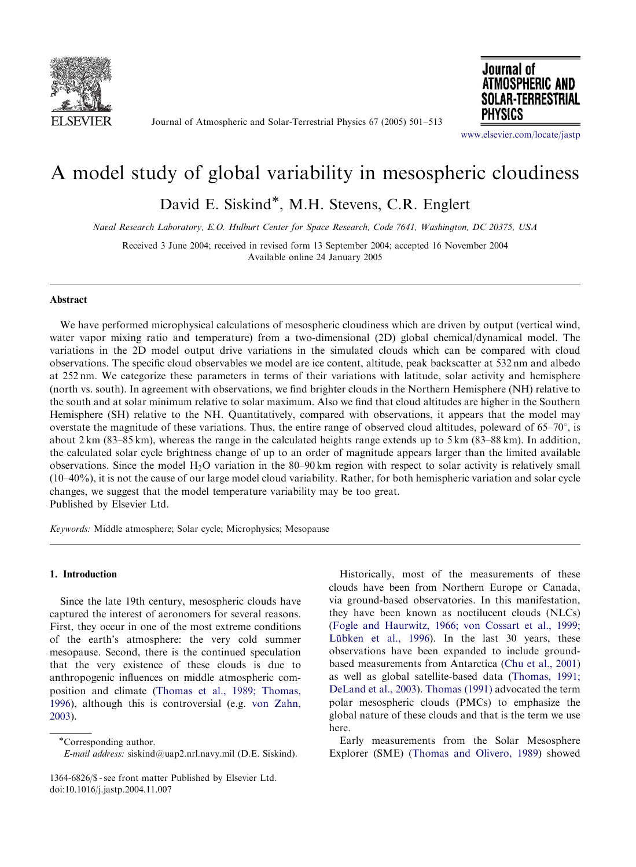

Journal of Atmospheric and Solar-Terrestrial Physics 67 (2005) 501–513



<www.elsevier.com/locate/jastp>

# A model study of global variability in mesospheric cloudiness

David E. Siskind\*, M.H. Stevens, C.R. Englert

Naval Research Laboratory, E.O. Hulburt Center for Space Research, Code 7641, Washington, DC 20375, USA

Received 3 June 2004; received in revised form 13 September 2004; accepted 16 November 2004 Available online 24 January 2005

# Abstract

We have performed microphysical calculations of mesospheric cloudiness which are driven by output (vertical wind, water vapor mixing ratio and temperature) from a two-dimensional (2D) global chemical/dynamical model. The variations in the 2D model output drive variations in the simulated clouds which can be compared with cloud observations. The specific cloud observables we model are ice content, altitude, peak backscatter at 532 nm and albedo at 252 nm. We categorize these parameters in terms of their variations with latitude, solar activity and hemisphere (north vs. south). In agreement with observations, we find brighter clouds in the Northern Hemisphere (NH) relative to the south and at solar minimum relative to solar maximum. Also we find that cloud altitudes are higher in the Southern Hemisphere (SH) relative to the NH. Quantitatively, compared with observations, it appears that the model may overstate the magnitude of these variations. Thus, the entire range of observed cloud altitudes, poleward of  $65-70^{\circ}$ , is about 2 km (83–85 km), whereas the range in the calculated heights range extends up to 5 km (83–88 km). In addition, the calculated solar cycle brightness change of up to an order of magnitude appears larger than the limited available observations. Since the model  $H_2O$  variation in the 80–90 km region with respect to solar activity is relatively small (10–40%), it is not the cause of our large model cloud variability. Rather, for both hemispheric variation and solar cycle changes, we suggest that the model temperature variability may be too great. Published by Elsevier Ltd.

Keywords: Middle atmosphere; Solar cycle; Microphysics; Mesopause

# 1. Introduction

Since the late 19th century, mesospheric clouds have captured the interest of aeronomers for several reasons. First, they occur in one of the most extreme conditions of the earth's atmosphere: the very cold summer mesopause. Second, there is the continued speculation that the very existence of these clouds is due to anthropogenic influences on middle atmospheric composition and climate ([Thomas et al., 1989; Thomas,](#page--1-0) [1996](#page--1-0)), although this is controversial (e.g. [von Zahn,](#page--1-0) [2003](#page--1-0)).

Historically, most of the measurements of these clouds have been from Northern Europe or Canada, via ground-based observatories. In this manifestation, they have been known as noctilucent clouds (NLCs) ([Fogle and Haurwitz, 1966; von Cossart et al., 1999;](#page--1-0) Lübken et al., 1996). In the last 30 years, these observations have been expanded to include groundbased measurements from Antarctica ([Chu et al., 2001\)](#page--1-0) as well as global satellite-based data [\(Thomas, 1991;](#page--1-0) [DeLand et al., 2003\)](#page--1-0). [Thomas \(1991\)](#page--1-0) advocated the term polar mesospheric clouds (PMCs) to emphasize the global nature of these clouds and that is the term we use here.

Early measurements from the Solar Mesosphere Explorer (SME) ([Thomas and Olivero, 1989\)](#page--1-0) showed

Corresponding author.

E-mail address: siskind@uap2.nrl.navy.mil (D.E. Siskind).

<sup>1364-6826/\$ -</sup> see front matter Published by Elsevier Ltd. doi:10.1016/j.jastp.2004.11.007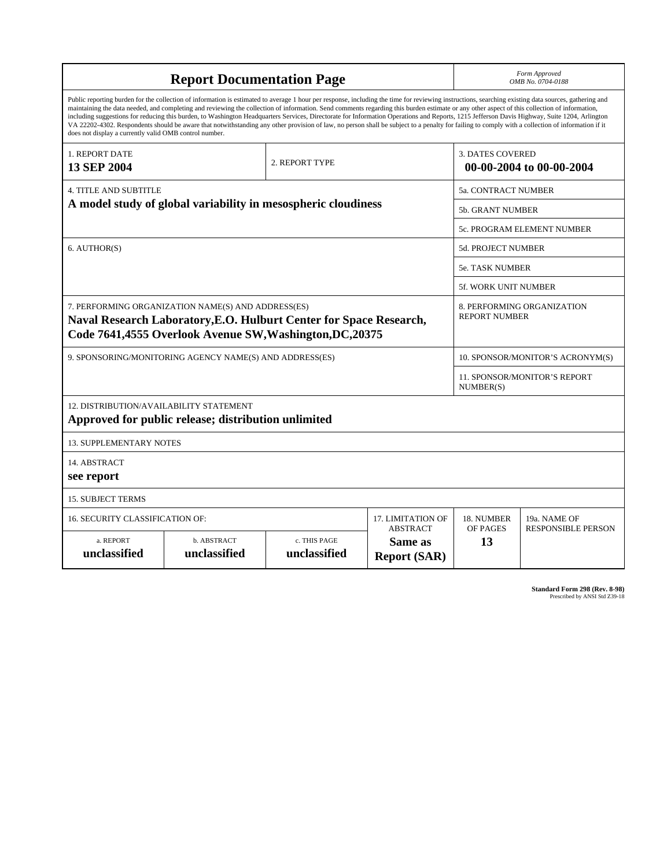| <b>Report Documentation Page</b>                                                                                                                                                                                                                                                                                                                                                                                                                                                                                                                                                                                                                                                                                                                                                                                                                                   |                             |                              |                                                   | Form Approved<br>OMB No. 0704-0188                  |                           |
|--------------------------------------------------------------------------------------------------------------------------------------------------------------------------------------------------------------------------------------------------------------------------------------------------------------------------------------------------------------------------------------------------------------------------------------------------------------------------------------------------------------------------------------------------------------------------------------------------------------------------------------------------------------------------------------------------------------------------------------------------------------------------------------------------------------------------------------------------------------------|-----------------------------|------------------------------|---------------------------------------------------|-----------------------------------------------------|---------------------------|
| Public reporting burden for the collection of information is estimated to average 1 hour per response, including the time for reviewing instructions, searching existing data sources, gathering and<br>maintaining the data needed, and completing and reviewing the collection of information. Send comments regarding this burden estimate or any other aspect of this collection of information,<br>including suggestions for reducing this burden, to Washington Headquarters Services, Directorate for Information Operations and Reports, 1215 Jefferson Davis Highway, Suite 1204, Arlington<br>VA 22202-4302. Respondents should be aware that notwithstanding any other provision of law, no person shall be subject to a penalty for failing to comply with a collection of information if it<br>does not display a currently valid OMB control number. |                             |                              |                                                   |                                                     |                           |
| <b>1. REPORT DATE</b><br><b>13 SEP 2004</b>                                                                                                                                                                                                                                                                                                                                                                                                                                                                                                                                                                                                                                                                                                                                                                                                                        |                             | 2. REPORT TYPE               |                                                   | <b>3. DATES COVERED</b><br>00-00-2004 to 00-00-2004 |                           |
| <b>4. TITLE AND SUBTITLE</b>                                                                                                                                                                                                                                                                                                                                                                                                                                                                                                                                                                                                                                                                                                                                                                                                                                       |                             |                              |                                                   | 5a. CONTRACT NUMBER                                 |                           |
| A model study of global variability in mesospheric cloudiness                                                                                                                                                                                                                                                                                                                                                                                                                                                                                                                                                                                                                                                                                                                                                                                                      |                             |                              |                                                   | <b>5b. GRANT NUMBER</b>                             |                           |
|                                                                                                                                                                                                                                                                                                                                                                                                                                                                                                                                                                                                                                                                                                                                                                                                                                                                    |                             |                              |                                                   | 5c. PROGRAM ELEMENT NUMBER                          |                           |
| 6. AUTHOR(S)                                                                                                                                                                                                                                                                                                                                                                                                                                                                                                                                                                                                                                                                                                                                                                                                                                                       |                             |                              |                                                   | 5d. PROJECT NUMBER                                  |                           |
|                                                                                                                                                                                                                                                                                                                                                                                                                                                                                                                                                                                                                                                                                                                                                                                                                                                                    |                             |                              |                                                   | <b>5e. TASK NUMBER</b>                              |                           |
|                                                                                                                                                                                                                                                                                                                                                                                                                                                                                                                                                                                                                                                                                                                                                                                                                                                                    |                             |                              |                                                   | 5f. WORK UNIT NUMBER                                |                           |
| 7. PERFORMING ORGANIZATION NAME(S) AND ADDRESS(ES)<br>Naval Research Laboratory, E.O. Hulburt Center for Space Research,<br>Code 7641,4555 Overlook Avenue SW, Washington, DC, 20375                                                                                                                                                                                                                                                                                                                                                                                                                                                                                                                                                                                                                                                                               |                             |                              |                                                   | 8. PERFORMING ORGANIZATION<br><b>REPORT NUMBER</b>  |                           |
| 9. SPONSORING/MONITORING AGENCY NAME(S) AND ADDRESS(ES)                                                                                                                                                                                                                                                                                                                                                                                                                                                                                                                                                                                                                                                                                                                                                                                                            |                             |                              |                                                   | 10. SPONSOR/MONITOR'S ACRONYM(S)                    |                           |
|                                                                                                                                                                                                                                                                                                                                                                                                                                                                                                                                                                                                                                                                                                                                                                                                                                                                    |                             |                              |                                                   | <b>11. SPONSOR/MONITOR'S REPORT</b><br>NUMBER(S)    |                           |
| 12. DISTRIBUTION/AVAILABILITY STATEMENT<br>Approved for public release; distribution unlimited                                                                                                                                                                                                                                                                                                                                                                                                                                                                                                                                                                                                                                                                                                                                                                     |                             |                              |                                                   |                                                     |                           |
| <b>13. SUPPLEMENTARY NOTES</b>                                                                                                                                                                                                                                                                                                                                                                                                                                                                                                                                                                                                                                                                                                                                                                                                                                     |                             |                              |                                                   |                                                     |                           |
| 14. ABSTRACT<br>see report                                                                                                                                                                                                                                                                                                                                                                                                                                                                                                                                                                                                                                                                                                                                                                                                                                         |                             |                              |                                                   |                                                     |                           |
| <b>15. SUBJECT TERMS</b>                                                                                                                                                                                                                                                                                                                                                                                                                                                                                                                                                                                                                                                                                                                                                                                                                                           |                             |                              |                                                   |                                                     |                           |
| 16. SECURITY CLASSIFICATION OF:<br>17. LIMITATION OF                                                                                                                                                                                                                                                                                                                                                                                                                                                                                                                                                                                                                                                                                                                                                                                                               |                             |                              |                                                   | 18. NUMBER                                          | 19a. NAME OF              |
| a. REPORT<br>unclassified                                                                                                                                                                                                                                                                                                                                                                                                                                                                                                                                                                                                                                                                                                                                                                                                                                          | b. ABSTRACT<br>unclassified | c. THIS PAGE<br>unclassified | <b>ABSTRACT</b><br>Same as<br><b>Report (SAR)</b> | OF PAGES<br>13                                      | <b>RESPONSIBLE PERSON</b> |

**Standard Form 298 (Rev. 8-98)**<br>Prescribed by ANSI Std Z39-18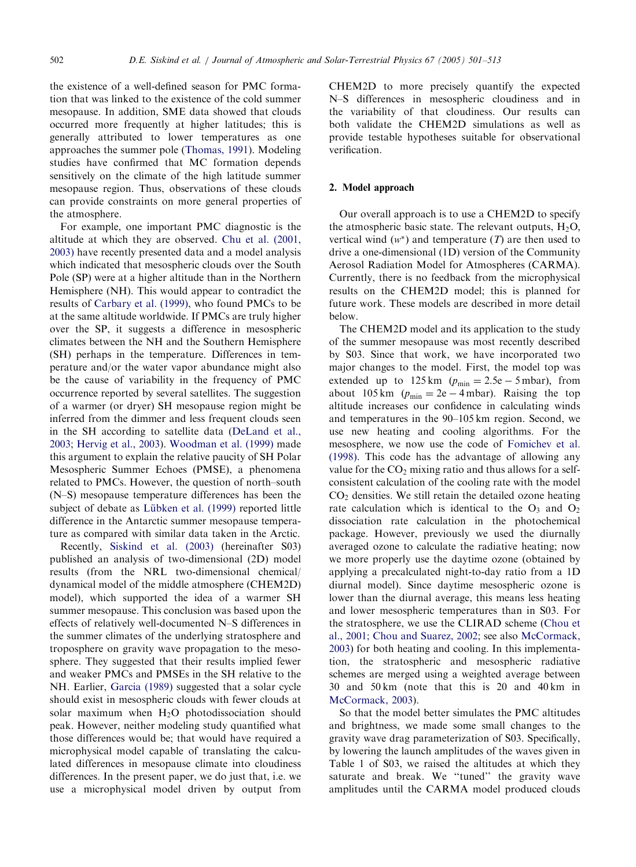the existence of a well-defined season for PMC formation that was linked to the existence of the cold summer mesopause. In addition, SME data showed that clouds occurred more frequently at higher latitudes; this is generally attributed to lower temperatures as one approaches the summer pole [\(Thomas, 1991\)](#page-13-0). Modeling studies have confirmed that MC formation depends sensitively on the climate of the high latitude summer mesopause region. Thus, observations of these clouds can provide constraints on more general properties of the atmosphere.

For example, one important PMC diagnostic is the altitude at which they are observed. [Chu et al. \(2001,](#page-12-0) [2003\)](#page-12-0) have recently presented data and a model analysis which indicated that mesospheric clouds over the South Pole (SP) were at a higher altitude than in the Northern Hemisphere (NH). This would appear to contradict the results of [Carbary et al. \(1999\)](#page-12-0), who found PMCs to be at the same altitude worldwide. If PMCs are truly higher over the SP, it suggests a difference in mesospheric climates between the NH and the Southern Hemisphere (SH) perhaps in the temperature. Differences in temperature and/or the water vapor abundance might also be the cause of variability in the frequency of PMC occurrence reported by several satellites. The suggestion of a warmer (or dryer) SH mesopause region might be inferred from the dimmer and less frequent clouds seen in the SH according to satellite data ([DeLand et al.,](#page-12-0) [2003](#page-12-0); [Hervig et al., 2003\)](#page-12-0). [Woodman et al. \(1999\)](#page-13-0) made this argument to explain the relative paucity of SH Polar Mesospheric Summer Echoes (PMSE), a phenomena related to PMCs. However, the question of north–south (N–S) mesopause temperature differences has been the subject of debate as Lübken et al. (1999) reported little difference in the Antarctic summer mesopause temperature as compared with similar data taken in the Arctic.

Recently, [Siskind et al. \(2003\)](#page-13-0) (hereinafter S03) published an analysis of two-dimensional (2D) model results (from the NRL two-dimensional chemical/ dynamical model of the middle atmosphere (CHEM2D) model), which supported the idea of a warmer SH summer mesopause. This conclusion was based upon the effects of relatively well-documented N–S differences in the summer climates of the underlying stratosphere and troposphere on gravity wave propagation to the mesosphere. They suggested that their results implied fewer and weaker PMCs and PMSEs in the SH relative to the NH. Earlier, [Garcia \(1989\)](#page-12-0) suggested that a solar cycle should exist in mesospheric clouds with fewer clouds at solar maximum when H2O photodissociation should peak. However, neither modeling study quantified what those differences would be; that would have required a microphysical model capable of translating the calculated differences in mesopause climate into cloudiness differences. In the present paper, we do just that, i.e. we use a microphysical model driven by output from

CHEM2D to more precisely quantify the expected N–S differences in mesospheric cloudiness and in the variability of that cloudiness. Our results can both validate the CHEM2D simulations as well as provide testable hypotheses suitable for observational verification.

## 2. Model approach

Our overall approach is to use a CHEM2D to specify the atmospheric basic state. The relevant outputs,  $H_2O$ , vertical wind  $(w^*)$  and temperature  $(T)$  are then used to drive a one-dimensional (1D) version of the Community Aerosol Radiation Model for Atmospheres (CARMA). Currently, there is no feedback from the microphysical results on the CHEM2D model; this is planned for future work. These models are described in more detail below.

The CHEM2D model and its application to the study of the summer mesopause was most recently described by S03. Since that work, we have incorporated two major changes to the model. First, the model top was extended up to  $125 \text{ km}$  ( $p_{\text{min}} = 2.5e - 5 \text{ mbar}$ ), from about 105 km  $(p_{\min} = 2e - 4 \text{ mbar})$ . Raising the top altitude increases our confidence in calculating winds and temperatures in the 90–105 km region. Second, we use new heating and cooling algorithms. For the mesosphere, we now use the code of [Fomichev et al.](#page-12-0) [\(1998\).](#page-12-0) This code has the advantage of allowing any value for the  $CO<sub>2</sub>$  mixing ratio and thus allows for a selfconsistent calculation of the cooling rate with the model  $CO<sub>2</sub>$  densities. We still retain the detailed ozone heating rate calculation which is identical to the  $O_3$  and  $O_2$ dissociation rate calculation in the photochemical package. However, previously we used the diurnally averaged ozone to calculate the radiative heating; now we more properly use the daytime ozone (obtained by applying a precalculated night-to-day ratio from a 1D diurnal model). Since daytime mesospheric ozone is lower than the diurnal average, this means less heating and lower mesospheric temperatures than in S03. For the stratosphere, we use the CLIRAD scheme ([Chou et](#page-12-0) [al., 2001; Chou and Suarez, 2002;](#page-12-0) see also [McCormack,](#page-12-0) [2003\)](#page-12-0) for both heating and cooling. In this implementation, the stratospheric and mesospheric radiative schemes are merged using a weighted average between 30 and 50 km (note that this is 20 and 40 km in [McCormack, 2003](#page-12-0)).

So that the model better simulates the PMC altitudes and brightness, we made some small changes to the gravity wave drag parameterization of S03. Specifically, by lowering the launch amplitudes of the waves given in Table 1 of S03, we raised the altitudes at which they saturate and break. We ''tuned'' the gravity wave amplitudes until the CARMA model produced clouds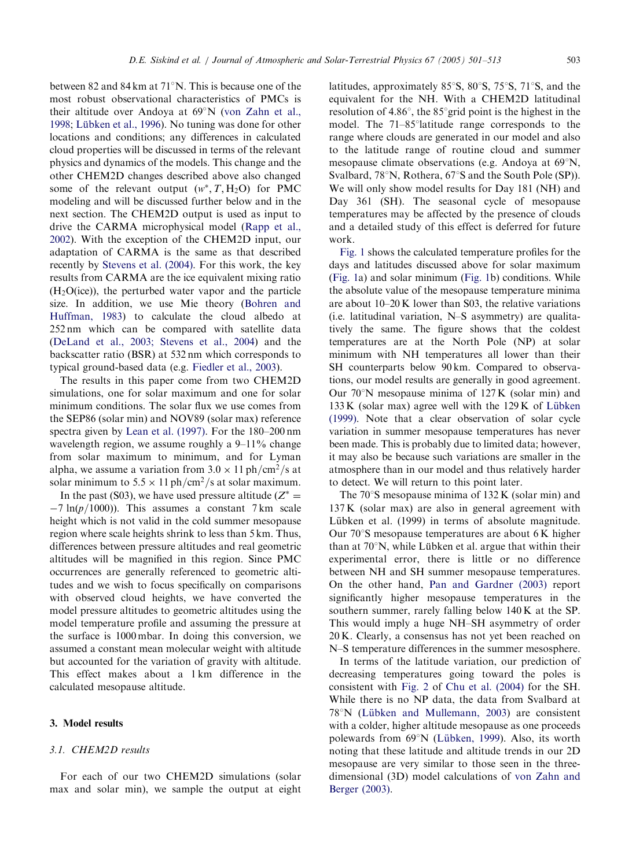between 82 and 84 km at 71°N. This is because one of the most robust observational characteristics of PMCs is their altitude over Andoya at 69 N ([von Zahn et al.,](#page-13-0) [1998](#page-13-0); Lübken et al., 1996). No tuning was done for other locations and conditions; any differences in calculated cloud properties will be discussed in terms of the relevant physics and dynamics of the models. This change and the other CHEM2D changes described above also changed some of the relevant output  $(w^*, T, H_2O)$  for PMC modeling and will be discussed further below and in the next section. The CHEM2D output is used as input to drive the CARMA microphysical model ([Rapp et al.,](#page-13-0) [2002](#page-13-0)). With the exception of the CHEM2D input, our adaptation of CARMA is the same as that described recently by [Stevens et al. \(2004\)](#page-13-0). For this work, the key results from CARMA are the ice equivalent mixing ratio  $(H<sub>2</sub>O(ice))$ , the perturbed water vapor and the particle size. In addition, we use Mie theory [\(Bohren and](#page-12-0) [Huffman, 1983\)](#page-12-0) to calculate the cloud albedo at 252 nm which can be compared with satellite data [\(DeLand et al., 2003; Stevens et al., 2004\)](#page-12-0) and the backscatter ratio (BSR) at 532 nm which corresponds to typical ground-based data (e.g. [Fiedler et al., 2003](#page-12-0)).

The results in this paper come from two CHEM2D simulations, one for solar maximum and one for solar minimum conditions. The solar flux we use comes from the SEP86 (solar min) and NOV89 (solar max) reference spectra given by [Lean et al. \(1997\).](#page-12-0) For the 180–200 nm wavelength region, we assume roughly a 9–11% change from solar maximum to minimum, and for Lyman alpha, we assume a variation from  $3.0 \times 11$  ph/cm<sup>2</sup>/s at solar minimum to  $5.5 \times 11$  ph/cm<sup>2</sup>/s at solar maximum.

In the past (S03), we have used pressure altitude ( $Z^* =$  $-7 \ln(p/1000)$ . This assumes a constant 7 km scale height which is not valid in the cold summer mesopause region where scale heights shrink to less than 5 km. Thus, differences between pressure altitudes and real geometric altitudes will be magnified in this region. Since PMC occurrences are generally referenced to geometric altitudes and we wish to focus specifically on comparisons with observed cloud heights, we have converted the model pressure altitudes to geometric altitudes using the model temperature profile and assuming the pressure at the surface is 1000 mbar. In doing this conversion, we assumed a constant mean molecular weight with altitude but accounted for the variation of gravity with altitude. This effect makes about a 1 km difference in the calculated mesopause altitude.

# 3. Model results

## 3.1. CHEM2D results

For each of our two CHEM2D simulations (solar max and solar min), we sample the output at eight latitudes, approximately  $85^\circ$ S,  $80^\circ$ S,  $75^\circ$ S,  $71^\circ$ S, and the equivalent for the NH. With a CHEM2D latitudinal resolution of  $4.86^\circ$ , the  $85^\circ$  grid point is the highest in the model. The  $71-85^\circ$ latitude range corresponds to the range where clouds are generated in our model and also to the latitude range of routine cloud and summer mesopause climate observations (e.g. Andoya at  $69^{\circ}$ N, Svalbard, 78°N, Rothera, 67°S and the South Pole (SP)). We will only show model results for Day 181 (NH) and Day 361 (SH). The seasonal cycle of mesopause temperatures may be affected by the presence of clouds and a detailed study of this effect is deferred for future work.

[Fig. 1](#page-4-0) shows the calculated temperature profiles for the days and latitudes discussed above for solar maximum ([Fig. 1a](#page-4-0)) and solar minimum [\(Fig. 1b](#page-4-0)) conditions. While the absolute value of the mesopause temperature minima are about 10–20 K lower than S03, the relative variations (i.e. latitudinal variation, N–S asymmetry) are qualitatively the same. The figure shows that the coldest temperatures are at the North Pole (NP) at solar minimum with NH temperatures all lower than their SH counterparts below 90 km. Compared to observations, our model results are generally in good agreement. Our  $70^{\circ}$ N mesopause minima of  $127K$  (solar min) and  $133 K$  (solar max) agree well with the  $129 K$  of Lübken [\(1999\)](#page-12-0). Note that a clear observation of solar cycle variation in summer mesopause temperatures has never been made. This is probably due to limited data; however, it may also be because such variations are smaller in the atmosphere than in our model and thus relatively harder to detect. We will return to this point later.

The  $70^{\circ}$ S mesopause minima of 132 K (solar min) and 137 K (solar max) are also in general agreement with Lübken et al. (1999) in terms of absolute magnitude. Our  $70^{\circ}$ S mesopause temperatures are about 6 K higher than at  $70^{\circ}$ N, while Lübken et al. argue that within their experimental error, there is little or no difference between NH and SH summer mesopause temperatures. On the other hand, [Pan and Gardner \(2003\)](#page-13-0) report significantly higher mesopause temperatures in the southern summer, rarely falling below 140 K at the SP. This would imply a huge NH–SH asymmetry of order 20 K. Clearly, a consensus has not yet been reached on N–S temperature differences in the summer mesosphere.

In terms of the latitude variation, our prediction of decreasing temperatures going toward the poles is consistent with [Fig. 2](#page-5-0) of [Chu et al. \(2004\)](#page-12-0) for the SH. While there is no NP data, the data from Svalbard at  $78^{\circ}$ N (Lübken and Mullemann, 2003) are consistent with a colder, higher altitude mesopause as one proceeds polewards from  $69^\circ$ N (Lübken, 1999). Also, its worth noting that these latitude and altitude trends in our 2D mesopause are very similar to those seen in the threedimensional (3D) model calculations of [von Zahn and](#page-13-0) [Berger \(2003\).](#page-13-0)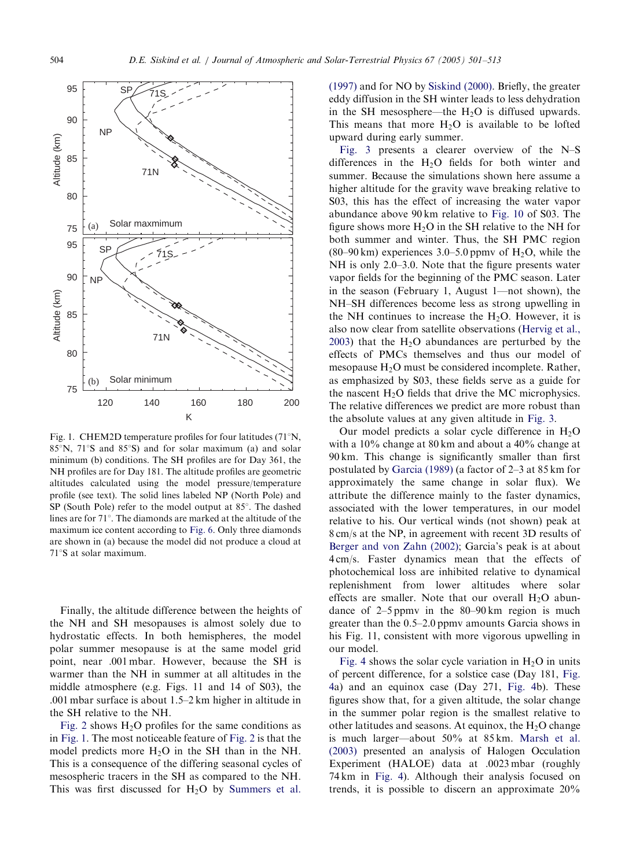<span id="page-4-0"></span>

Fig. 1. CHEM2D temperature profiles for four latitudes  $(71^{\circ}N,$  $85^\circ$ N,  $71^\circ$ S and  $85^\circ$ S) and for solar maximum (a) and solar minimum (b) conditions. The SH profiles are for Day 361, the NH profiles are for Day 181. The altitude profiles are geometric altitudes calculated using the model pressure/temperature profile (see text). The solid lines labeled NP (North Pole) and  $SP$  (South Pole) refer to the model output at 85 $^{\circ}$ . The dashed lines are for 71°. The diamonds are marked at the altitude of the maximum ice content according to [Fig. 6](#page-7-0). Only three diamonds are shown in (a) because the model did not produce a cloud at 71°S at solar maximum.

Finally, the altitude difference between the heights of the NH and SH mesopauses is almost solely due to hydrostatic effects. In both hemispheres, the model polar summer mesopause is at the same model grid point, near .001 mbar. However, because the SH is warmer than the NH in summer at all altitudes in the middle atmosphere (e.g. Figs. 11 and 14 of S03), the .001 mbar surface is about 1.5–2 km higher in altitude in the SH relative to the NH.

[Fig. 2](#page-5-0) shows  $H<sub>2</sub>O$  profiles for the same conditions as in Fig. 1. The most noticeable feature of [Fig. 2](#page-5-0) is that the model predicts more  $H<sub>2</sub>O$  in the SH than in the NH. This is a consequence of the differing seasonal cycles of mesospheric tracers in the SH as compared to the NH. This was first discussed for  $H<sub>2</sub>O$  by [Summers et al.](#page-13-0)

[\(1997\)](#page-13-0) and for NO by [Siskind \(2000\)](#page-13-0). Briefly, the greater eddy diffusion in the SH winter leads to less dehydration in the SH mesosphere—the  $H_2O$  is diffused upwards. This means that more  $H_2O$  is available to be lofted upward during early summer.

[Fig. 3](#page-5-0) presents a clearer overview of the N–S differences in the  $H<sub>2</sub>O$  fields for both winter and summer. Because the simulations shown here assume a higher altitude for the gravity wave breaking relative to S03, this has the effect of increasing the water vapor abundance above 90 km relative to [Fig. 10](#page-11-0) of S03. The figure shows more  $H_2O$  in the SH relative to the NH for both summer and winter. Thus, the SH PMC region  $(80-90 \text{ km})$  experiences 3.0–5.0 ppmy of H<sub>2</sub>O<sub>,</sub> while the NH is only 2.0–3.0. Note that the figure presents water vapor fields for the beginning of the PMC season. Later in the season (February 1, August 1—not shown), the NH–SH differences become less as strong upwelling in the NH continues to increase the  $H_2O$ . However, it is also now clear from satellite observations ([Hervig et al.,](#page-12-0) [2003\)](#page-12-0) that the  $H_2O$  abundances are perturbed by the effects of PMCs themselves and thus our model of mesopause  $H<sub>2</sub>O$  must be considered incomplete. Rather, as emphasized by S03, these fields serve as a guide for the nascent  $H<sub>2</sub>O$  fields that drive the MC microphysics. The relative differences we predict are more robust than the absolute values at any given altitude in [Fig. 3](#page-5-0).

Our model predicts a solar cycle difference in  $H_2O$ with a 10% change at 80 km and about a 40% change at 90 km. This change is significantly smaller than first postulated by [Garcia \(1989\)](#page-12-0) (a factor of 2–3 at 85 km for approximately the same change in solar flux). We attribute the difference mainly to the faster dynamics, associated with the lower temperatures, in our model relative to his. Our vertical winds (not shown) peak at 8 cm/s at the NP, in agreement with recent 3D results of [Berger and von Zahn \(2002\);](#page-12-0) Garcia's peak is at about 4 cm/s. Faster dynamics mean that the effects of photochemical loss are inhibited relative to dynamical replenishment from lower altitudes where solar effects are smaller. Note that our overall  $H_2O$  abundance of 2–5 ppmv in the 80–90 km region is much greater than the 0.5–2.0 ppmv amounts Garcia shows in his Fig. 11, consistent with more vigorous upwelling in our model.

[Fig. 4](#page-5-0) shows the solar cycle variation in  $H_2O$  in units of percent difference, for a solstice case (Day 181, [Fig.](#page-5-0) [4](#page-5-0)a) and an equinox case (Day 271, [Fig. 4](#page-5-0)b). These figures show that, for a given altitude, the solar change in the summer polar region is the smallest relative to other latitudes and seasons. At equinox, the  $H_2O$  change is much larger—about 50% at 85 km. [Marsh et al.](#page-12-0) [\(2003\)](#page-12-0) presented an analysis of Halogen Occulation Experiment (HALOE) data at .0023 mbar (roughly 74 km in [Fig. 4](#page-5-0)). Although their analysis focused on trends, it is possible to discern an approximate 20%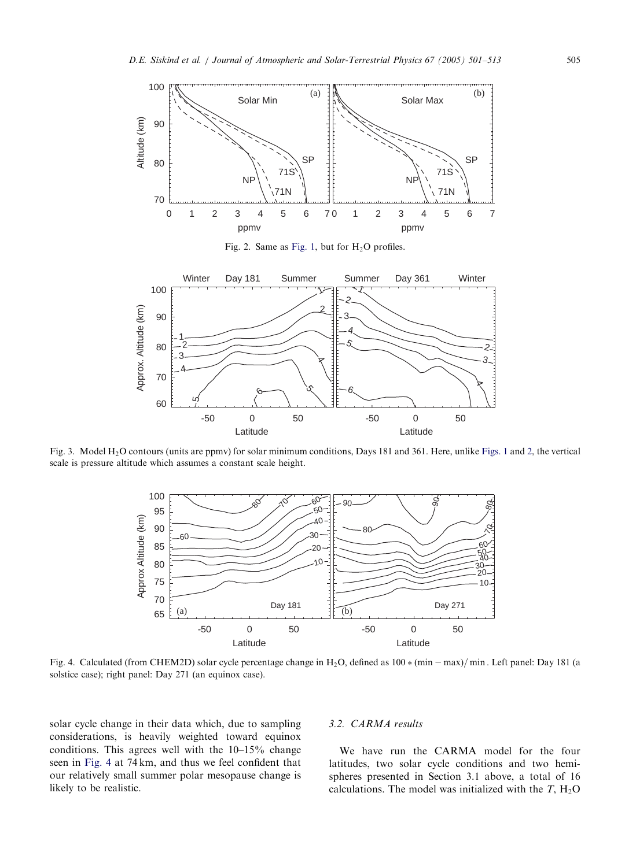<span id="page-5-0"></span>

Fig. 2. Same as [Fig. 1,](#page-4-0) but for  $H_2O$  profiles.



Fig. 3. Model H2O contours (units are ppmv) for solar minimum conditions, Days 181 and 361. Here, unlike [Figs. 1](#page-4-0) and 2, the vertical scale is pressure altitude which assumes a constant scale height.



Fig. 4. Calculated (from CHEM2D) solar cycle percentage change in  $H_2O$ , defined as  $100 * (min-max)/min$ . Left panel: Day 181 (a solstice case); right panel: Day 271 (an equinox case).

solar cycle change in their data which, due to sampling considerations, is heavily weighted toward equinox conditions. This agrees well with the 10–15% change seen in Fig. 4 at 74 km, and thus we feel confident that our relatively small summer polar mesopause change is likely to be realistic.

# 3.2. CARMA results

We have run the CARMA model for the four latitudes, two solar cycle conditions and two hemispheres presented in Section 3.1 above, a total of 16 calculations. The model was initialized with the  $T$ ,  $H_2O$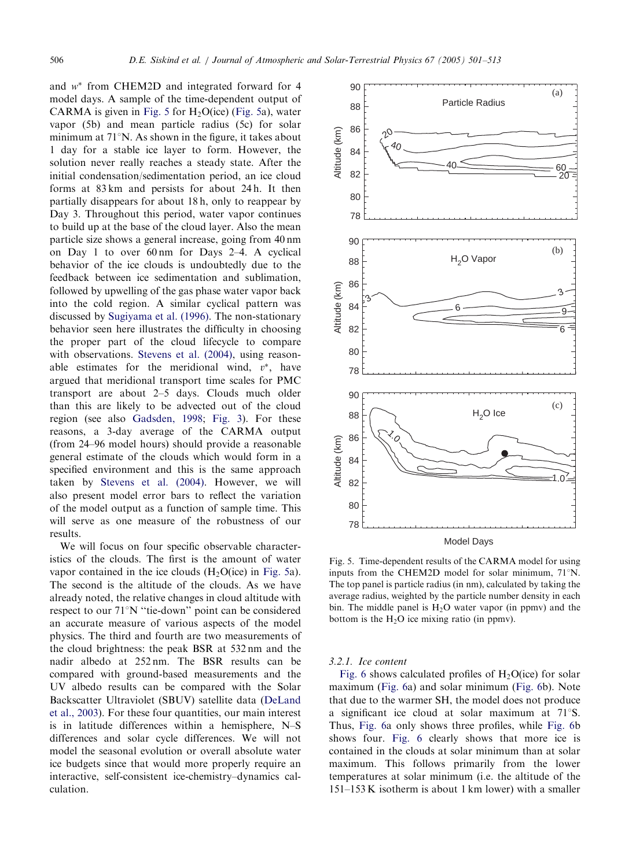<span id="page-6-0"></span>and  $w^*$  from CHEM2D and integrated forward for 4 model days. A sample of the time-dependent output of CARMA is given in Fig. 5 for  $H_2O(ice)$  (Fig. 5a), water vapor (5b) and mean particle radius (5c) for solar minimum at  $71^{\circ}$ N. As shown in the figure, it takes about 1 day for a stable ice layer to form. However, the solution never really reaches a steady state. After the initial condensation/sedimentation period, an ice cloud forms at 83 km and persists for about 24 h. It then partially disappears for about 18 h, only to reappear by Day 3. Throughout this period, water vapor continues to build up at the base of the cloud layer. Also the mean particle size shows a general increase, going from 40 nm on Day 1 to over 60 nm for Days 2–4. A cyclical behavior of the ice clouds is undoubtedly due to the feedback between ice sedimentation and sublimation, followed by upwelling of the gas phase water vapor back into the cold region. A similar cyclical pattern was discussed by [Sugiyama et al. \(1996\).](#page-13-0) The non-stationary behavior seen here illustrates the difficulty in choosing the proper part of the cloud lifecycle to compare with observations. [Stevens et al. \(2004\),](#page-13-0) using reasonable estimates for the meridional wind,  $v^*$ , have argued that meridional transport time scales for PMC transport are about 2–5 days. Clouds much older than this are likely to be advected out of the cloud region (see also [Gadsden, 1998;](#page-12-0) [Fig. 3](#page-5-0)). For these reasons, a 3-day average of the CARMA output (from 24–96 model hours) should provide a reasonable general estimate of the clouds which would form in a specified environment and this is the same approach taken by [Stevens et al. \(2004\).](#page-13-0) However, we will also present model error bars to reflect the variation of the model output as a function of sample time. This will serve as one measure of the robustness of our results.

We will focus on four specific observable characteristics of the clouds. The first is the amount of water vapor contained in the ice clouds  $(H<sub>2</sub>O(ice))$  in Fig. 5a). The second is the altitude of the clouds. As we have already noted, the relative changes in cloud altitude with respect to our 71°N "tie-down" point can be considered an accurate measure of various aspects of the model physics. The third and fourth are two measurements of the cloud brightness: the peak BSR at 532 nm and the nadir albedo at 252 nm. The BSR results can be compared with ground-based measurements and the UV albedo results can be compared with the Solar Backscatter Ultraviolet (SBUV) satellite data [\(DeLand](#page-12-0) [et al., 2003](#page-12-0)). For these four quantities, our main interest is in latitude differences within a hemisphere, N–S differences and solar cycle differences. We will not model the seasonal evolution or overall absolute water ice budgets since that would more properly require an interactive, self-consistent ice-chemistry–dynamics calculation.



Model Days

Fig. 5. Time-dependent results of the CARMA model for using inputs from the CHEM2D model for solar minimum,  $71^{\circ}$ N. The top panel is particle radius (in nm), calculated by taking the average radius, weighted by the particle number density in each bin. The middle panel is  $H_2O$  water vapor (in ppmv) and the bottom is the  $H_2O$  ice mixing ratio (in ppmv).

#### 3.2.1. Ice content

[Fig. 6](#page-7-0) shows calculated profiles of  $H_2O(ice)$  for solar maximum [\(Fig. 6a](#page-7-0)) and solar minimum [\(Fig. 6](#page-7-0)b). Note that due to the warmer SH, the model does not produce a significant ice cloud at solar maximum at  $71^{\circ}$ S. Thus, [Fig. 6a](#page-7-0) only shows three profiles, while [Fig. 6b](#page-7-0) shows four. [Fig. 6](#page-7-0) clearly shows that more ice is contained in the clouds at solar minimum than at solar maximum. This follows primarily from the lower temperatures at solar minimum (i.e. the altitude of the 151–153 K isotherm is about 1 km lower) with a smaller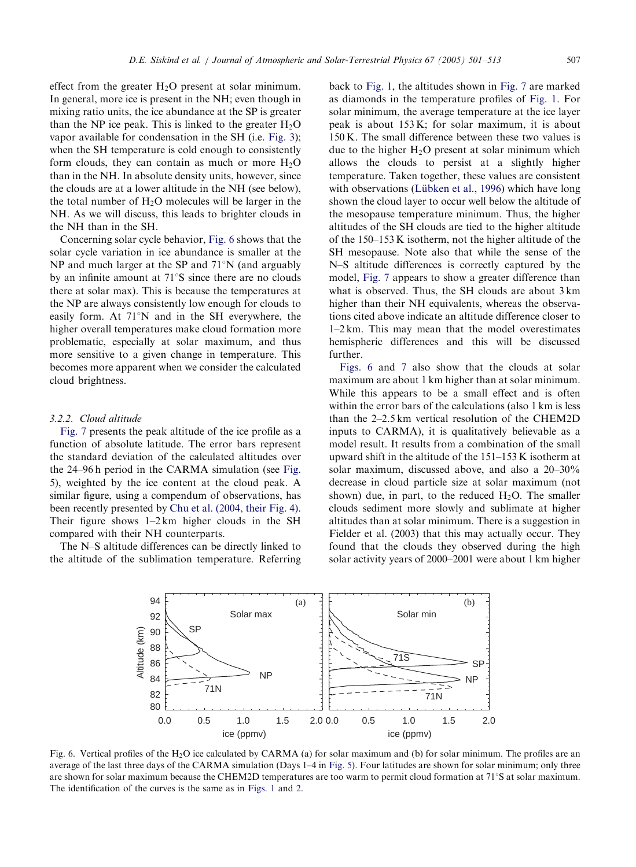<span id="page-7-0"></span>effect from the greater  $H_2O$  present at solar minimum. In general, more ice is present in the NH; even though in mixing ratio units, the ice abundance at the SP is greater than the NP ice peak. This is linked to the greater  $H_2O$ vapor available for condensation in the SH (i.e. [Fig. 3](#page-5-0)); when the SH temperature is cold enough to consistently form clouds, they can contain as much or more  $H_2O$ than in the NH. In absolute density units, however, since the clouds are at a lower altitude in the NH (see below), the total number of  $H_2O$  molecules will be larger in the NH. As we will discuss, this leads to brighter clouds in the NH than in the SH.

Concerning solar cycle behavior, Fig. 6 shows that the solar cycle variation in ice abundance is smaller at the NP and much larger at the SP and  $71^{\circ}$ N (and arguably by an infinite amount at  $71^{\circ}$ S since there are no clouds there at solar max). This is because the temperatures at the NP are always consistently low enough for clouds to easily form. At  $71^{\circ}$ N and in the SH everywhere, the higher overall temperatures make cloud formation more problematic, especially at solar maximum, and thus more sensitive to a given change in temperature. This becomes more apparent when we consider the calculated cloud brightness.

#### 3.2.2. Cloud altitude

[Fig. 7](#page-8-0) presents the peak altitude of the ice profile as a function of absolute latitude. The error bars represent the standard deviation of the calculated altitudes over the 24–96 h period in the CARMA simulation (see [Fig.](#page-6-0) [5](#page-6-0)), weighted by the ice content at the cloud peak. A similar figure, using a compendum of observations, has been recently presented by [Chu et al. \(2004, their Fig. 4\)](#page-12-0). Their figure shows 1–2 km higher clouds in the SH compared with their NH counterparts.

The N–S altitude differences can be directly linked to the altitude of the sublimation temperature. Referring back to [Fig. 1,](#page-4-0) the altitudes shown in [Fig. 7](#page-8-0) are marked as diamonds in the temperature profiles of [Fig. 1.](#page-4-0) For solar minimum, the average temperature at the ice layer peak is about 153 K; for solar maximum, it is about 150 K. The small difference between these two values is due to the higher  $H_2O$  present at solar minimum which allows the clouds to persist at a slightly higher temperature. Taken together, these values are consistent with observations (Lübken et al., 1996) which have long shown the cloud layer to occur well below the altitude of the mesopause temperature minimum. Thus, the higher altitudes of the SH clouds are tied to the higher altitude of the 150–153 K isotherm, not the higher altitude of the SH mesopause. Note also that while the sense of the N–S altitude differences is correctly captured by the model, [Fig. 7](#page-8-0) appears to show a greater difference than what is observed. Thus, the SH clouds are about 3 km higher than their NH equivalents, whereas the observations cited above indicate an altitude difference closer to 1–2 km. This may mean that the model overestimates hemispheric differences and this will be discussed further.

Figs. 6 and [7](#page-8-0) also show that the clouds at solar maximum are about 1 km higher than at solar minimum. While this appears to be a small effect and is often within the error bars of the calculations (also 1 km is less than the 2–2.5 km vertical resolution of the CHEM2D inputs to CARMA), it is qualitatively believable as a model result. It results from a combination of the small upward shift in the altitude of the 151–153 K isotherm at solar maximum, discussed above, and also a 20–30% decrease in cloud particle size at solar maximum (not shown) due, in part, to the reduced  $H_2O$ . The smaller clouds sediment more slowly and sublimate at higher altitudes than at solar minimum. There is a suggestion in Fielder et al. (2003) that this may actually occur. They found that the clouds they observed during the high solar activity years of 2000–2001 were about 1 km higher



Fig. 6. Vertical profiles of the H2O ice calculated by CARMA (a) for solar maximum and (b) for solar minimum. The profiles are an average of the last three days of the CARMA simulation (Days 1–4 in [Fig. 5](#page-6-0)). Four latitudes are shown for solar minimum; only three are shown for solar maximum because the CHEM2D temperatures are too warm to permit cloud formation at  $71^{\circ}$ S at solar maximum. The identification of the curves is the same as in [Figs. 1](#page-4-0) and [2](#page-5-0).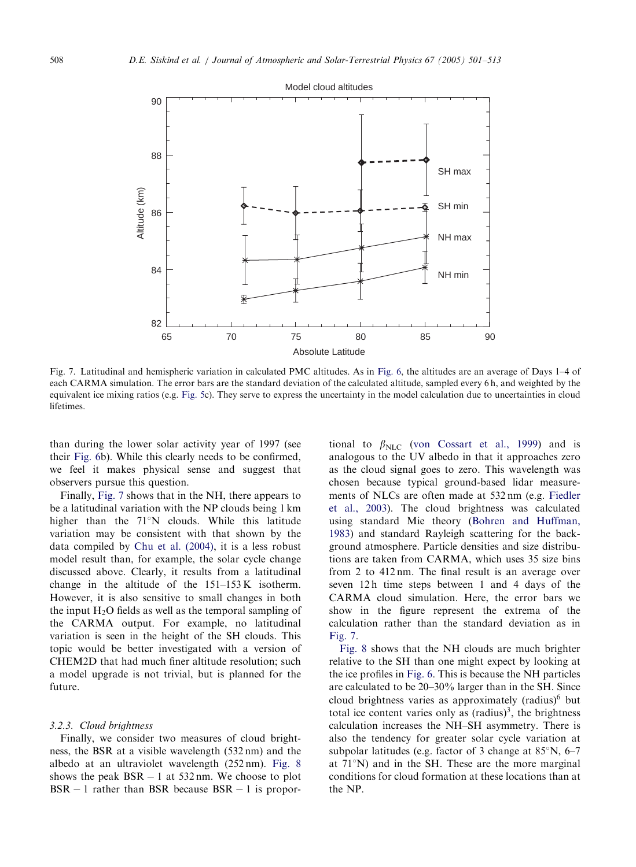<span id="page-8-0"></span>

Fig. 7. Latitudinal and hemispheric variation in calculated PMC altitudes. As in [Fig. 6](#page-7-0), the altitudes are an average of Days 1–4 of each CARMA simulation. The error bars are the standard deviation of the calculated altitude, sampled every 6 h, and weighted by the equivalent ice mixing ratios (e.g. [Fig. 5](#page-6-0)c). They serve to express the uncertainty in the model calculation due to uncertainties in cloud lifetimes.

than during the lower solar activity year of 1997 (see their [Fig. 6](#page-7-0)b). While this clearly needs to be confirmed, we feel it makes physical sense and suggest that observers pursue this question.

Finally, Fig. 7 shows that in the NH, there appears to be a latitudinal variation with the NP clouds being 1 km higher than the  $71^\circ$ N clouds. While this latitude variation may be consistent with that shown by the data compiled by [Chu et al. \(2004\),](#page-12-0) it is a less robust model result than, for example, the solar cycle change discussed above. Clearly, it results from a latitudinal change in the altitude of the 151–153 K isotherm. However, it is also sensitive to small changes in both the input  $H_2O$  fields as well as the temporal sampling of the CARMA output. For example, no latitudinal variation is seen in the height of the SH clouds. This topic would be better investigated with a version of CHEM2D that had much finer altitude resolution; such a model upgrade is not trivial, but is planned for the future.

#### 3.2.3. Cloud brightness

Finally, we consider two measures of cloud brightness, the BSR at a visible wavelength (532 nm) and the albedo at an ultraviolet wavelength (252 nm). [Fig. 8](#page-9-0) shows the peak  $BSR - 1$  at 532 nm. We choose to plot  $BSR - 1$  rather than BSR because  $BSR - 1$  is proportional to  $\beta_{\text{NLC}}$  ([von Cossart et al., 1999](#page-13-0)) and is analogous to the UV albedo in that it approaches zero as the cloud signal goes to zero. This wavelength was chosen because typical ground-based lidar measurements of NLCs are often made at 532 nm (e.g. [Fiedler](#page-12-0) [et al., 2003](#page-12-0)). The cloud brightness was calculated using standard Mie theory ([Bohren and Huffman,](#page-12-0) [1983\)](#page-12-0) and standard Rayleigh scattering for the background atmosphere. Particle densities and size distributions are taken from CARMA, which uses 35 size bins from 2 to 412 nm. The final result is an average over seven 12 h time steps between 1 and 4 days of the CARMA cloud simulation. Here, the error bars we show in the figure represent the extrema of the calculation rather than the standard deviation as in Fig. 7.

[Fig. 8](#page-9-0) shows that the NH clouds are much brighter relative to the SH than one might expect by looking at the ice profiles in [Fig. 6](#page-7-0). This is because the NH particles are calculated to be 20–30% larger than in the SH. Since cloud brightness varies as approximately  $(radius)^6$  but total ice content varies only as  $(radius)^3$ , the brightness calculation increases the NH–SH asymmetry. There is also the tendency for greater solar cycle variation at subpolar latitudes (e.g. factor of 3 change at  $85^\circ$ N, 6–7 at  $71^{\circ}$ N) and in the SH. These are the more marginal conditions for cloud formation at these locations than at the NP.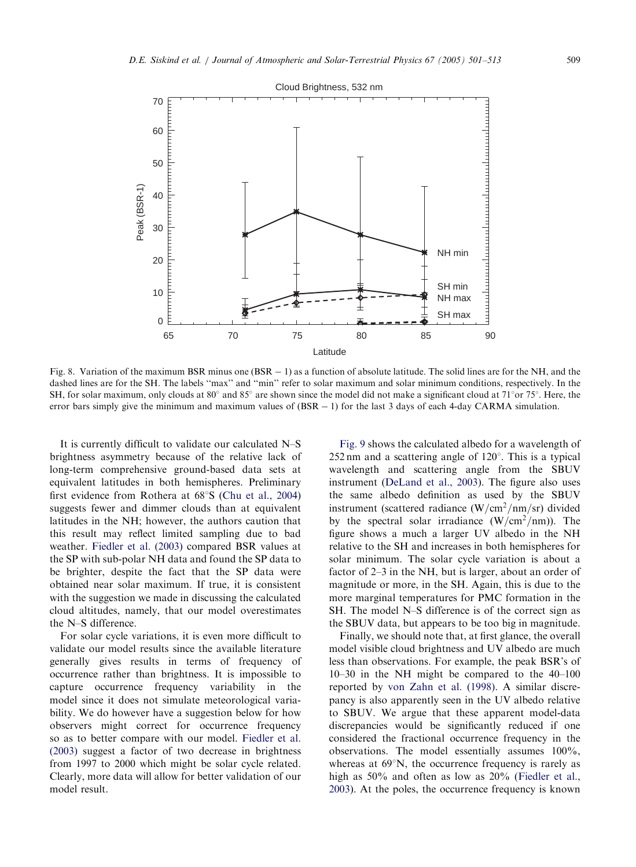<span id="page-9-0"></span>

Fig. 8. Variation of the maximum BSR minus one  $(BSR - 1)$  as a function of absolute latitude. The solid lines are for the NH, and the dashed lines are for the SH. The labels ''max'' and ''min'' refer to solar maximum and solar minimum conditions, respectively. In the SH, for solar maximum, only clouds at  $80^\circ$  and  $85^\circ$  are shown since the model did not make a significant cloud at  $71^\circ$ or  $75^\circ$ . Here, the error bars simply give the minimum and maximum values of  $(BSR - 1)$  for the last 3 days of each 4-day CARMA simulation.

It is currently difficult to validate our calculated N–S brightness asymmetry because of the relative lack of long-term comprehensive ground-based data sets at equivalent latitudes in both hemispheres. Preliminary first evidence from Rothera at  $68^{\circ}$ S ([Chu et al., 2004\)](#page-12-0) suggests fewer and dimmer clouds than at equivalent latitudes in the NH; however, the authors caution that this result may reflect limited sampling due to bad weather. [Fiedler et al. \(2003\)](#page-12-0) compared BSR values at the SP with sub-polar NH data and found the SP data to be brighter, despite the fact that the SP data were obtained near solar maximum. If true, it is consistent with the suggestion we made in discussing the calculated cloud altitudes, namely, that our model overestimates the N–S difference.

For solar cycle variations, it is even more difficult to validate our model results since the available literature generally gives results in terms of frequency of occurrence rather than brightness. It is impossible to capture occurrence frequency variability in the model since it does not simulate meteorological variability. We do however have a suggestion below for how observers might correct for occurrence frequency so as to better compare with our model. [Fiedler et al.](#page-12-0) [\(2003\)](#page-12-0) suggest a factor of two decrease in brightness from 1997 to 2000 which might be solar cycle related. Clearly, more data will allow for better validation of our model result.

[Fig. 9](#page-10-0) shows the calculated albedo for a wavelength of 252 nm and a scattering angle of  $120^{\circ}$ . This is a typical wavelength and scattering angle from the SBUV instrument ([DeLand et al., 2003](#page-12-0)). The figure also uses the same albedo definition as used by the SBUV instrument (scattered radiance  $(W/cm^2/nm/sr)$  divided by the spectral solar irradiance  $(W/cm^2/nm)$ . The figure shows a much a larger UV albedo in the NH relative to the SH and increases in both hemispheres for solar minimum. The solar cycle variation is about a factor of 2–3 in the NH, but is larger, about an order of magnitude or more, in the SH. Again, this is due to the more marginal temperatures for PMC formation in the SH. The model N–S difference is of the correct sign as the SBUV data, but appears to be too big in magnitude.

Finally, we should note that, at first glance, the overall model visible cloud brightness and UV albedo are much less than observations. For example, the peak BSR's of 10–30 in the NH might be compared to the 40–100 reported by [von Zahn et al. \(1998\).](#page-13-0) A similar discrepancy is also apparently seen in the UV albedo relative to SBUV. We argue that these apparent model-data discrepancies would be significantly reduced if one considered the fractional occurrence frequency in the observations. The model essentially assumes 100%, whereas at  $69^{\circ}$ N, the occurrence frequency is rarely as high as 50% and often as low as 20% [\(Fiedler et al.,](#page-12-0) [2003\)](#page-12-0). At the poles, the occurrence frequency is known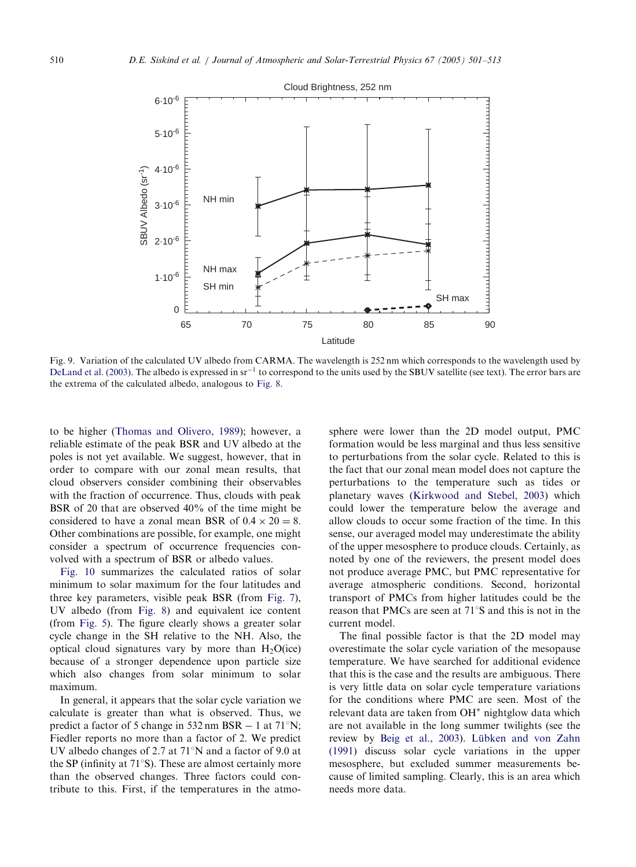<span id="page-10-0"></span>

Fig. 9. Variation of the calculated UV albedo from CARMA. The wavelength is 252 nm which corresponds to the wavelength used by [DeLand et al. \(2003\).](#page-12-0) The albedo is expressed in  $sr^{-1}$  to correspond to the units used by the SBUV satellite (see text). The error bars are the extrema of the calculated albedo, analogous to [Fig. 8.](#page-9-0)

to be higher ([Thomas and Olivero, 1989](#page-13-0)); however, a reliable estimate of the peak BSR and UV albedo at the poles is not yet available. We suggest, however, that in order to compare with our zonal mean results, that cloud observers consider combining their observables with the fraction of occurrence. Thus, clouds with peak BSR of 20 that are observed 40% of the time might be considered to have a zonal mean BSR of  $0.4 \times 20 = 8$ . Other combinations are possible, for example, one might consider a spectrum of occurrence frequencies convolved with a spectrum of BSR or albedo values.

[Fig. 10](#page-11-0) summarizes the calculated ratios of solar minimum to solar maximum for the four latitudes and three key parameters, visible peak BSR (from [Fig. 7](#page-8-0)), UV albedo (from [Fig. 8\)](#page-9-0) and equivalent ice content (from [Fig. 5](#page-6-0)). The figure clearly shows a greater solar cycle change in the SH relative to the NH. Also, the optical cloud signatures vary by more than  $H_2O(ice)$ because of a stronger dependence upon particle size which also changes from solar minimum to solar maximum.

In general, it appears that the solar cycle variation we calculate is greater than what is observed. Thus, we predict a factor of 5 change in  $532 \text{ nm BSR} - 1$  at  $71^{\circ}$ N; Fiedler reports no more than a factor of 2. We predict UV albedo changes of 2.7 at  $71^{\circ}$ N and a factor of 9.0 at the SP (infinity at  $71^{\circ}$ S). These are almost certainly more than the observed changes. Three factors could contribute to this. First, if the temperatures in the atmosphere were lower than the 2D model output, PMC formation would be less marginal and thus less sensitive to perturbations from the solar cycle. Related to this is the fact that our zonal mean model does not capture the perturbations to the temperature such as tides or planetary waves ([Kirkwood and Stebel, 2003](#page-12-0)) which could lower the temperature below the average and allow clouds to occur some fraction of the time. In this sense, our averaged model may underestimate the ability of the upper mesosphere to produce clouds. Certainly, as noted by one of the reviewers, the present model does not produce average PMC, but PMC representative for average atmospheric conditions. Second, horizontal transport of PMCs from higher latitudes could be the reason that PMCs are seen at  $71^{\circ}$ S and this is not in the current model.

The final possible factor is that the 2D model may overestimate the solar cycle variation of the mesopause temperature. We have searched for additional evidence that this is the case and the results are ambiguous. There is very little data on solar cycle temperature variations for the conditions where PMC are seen. Most of the relevant data are taken from OH<sup>\*</sup> nightglow data which are not available in the long summer twilights (see the review by [Beig et al., 2003](#page-12-0)). Lübken and von Zahn [\(1991\)](#page-12-0) discuss solar cycle variations in the upper mesosphere, but excluded summer measurements because of limited sampling. Clearly, this is an area which needs more data.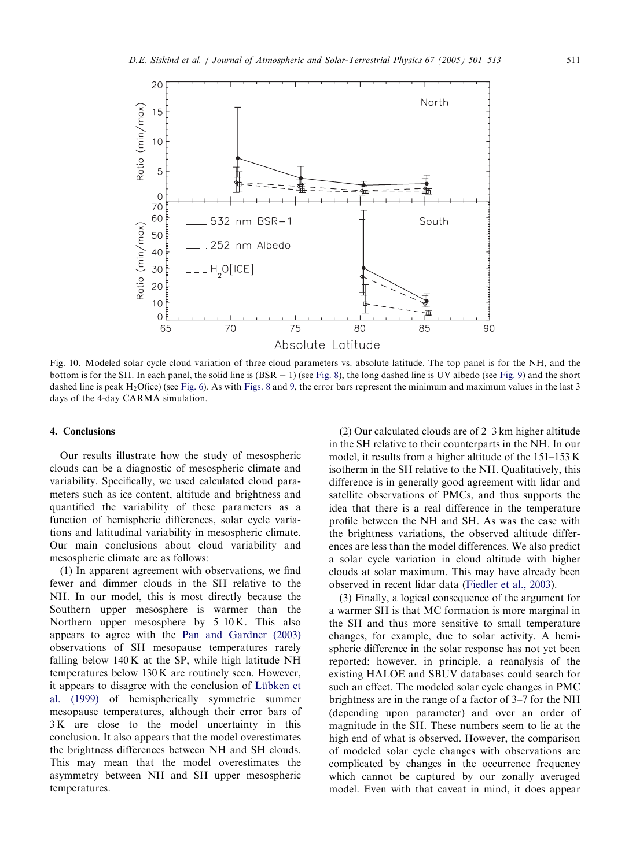<span id="page-11-0"></span>

Fig. 10. Modeled solar cycle cloud variation of three cloud parameters vs. absolute latitude. The top panel is for the NH, and the bottom is for the SH. In each panel, the solid line is  $(BSR - 1)$  (see [Fig. 8\)](#page-9-0), the long dashed line is UV albedo (see [Fig. 9](#page-10-0)) and the short dashed line is peak H<sub>2</sub>O(ice) (see [Fig. 6](#page-7-0)). As with [Figs. 8](#page-9-0) and [9](#page-10-0), the error bars represent the minimum and maximum values in the last 3 days of the 4-day CARMA simulation.

# 4. Conclusions

Our results illustrate how the study of mesospheric clouds can be a diagnostic of mesospheric climate and variability. Specifically, we used calculated cloud parameters such as ice content, altitude and brightness and quantified the variability of these parameters as a function of hemispheric differences, solar cycle variations and latitudinal variability in mesospheric climate. Our main conclusions about cloud variability and mesospheric climate are as follows:

(1) In apparent agreement with observations, we find fewer and dimmer clouds in the SH relative to the NH. In our model, this is most directly because the Southern upper mesosphere is warmer than the Northern upper mesosphere by 5–10 K. This also appears to agree with the [Pan and Gardner \(2003\)](#page-13-0) observations of SH mesopause temperatures rarely falling below  $140K$  at the SP, while high latitude NH temperatures below 130 K are routinely seen. However, it appears to disagree with the conclusion of Lübken et [al. \(1999\)](#page-12-0) of hemispherically symmetric summer mesopause temperatures, although their error bars of 3 K are close to the model uncertainty in this conclusion. It also appears that the model overestimates the brightness differences between NH and SH clouds. This may mean that the model overestimates the asymmetry between NH and SH upper mesospheric temperatures.

(2) Our calculated clouds are of 2–3 km higher altitude in the SH relative to their counterparts in the NH. In our model, it results from a higher altitude of the 151–153 K isotherm in the SH relative to the NH. Qualitatively, this difference is in generally good agreement with lidar and satellite observations of PMCs, and thus supports the idea that there is a real difference in the temperature profile between the NH and SH. As was the case with the brightness variations, the observed altitude differences are less than the model differences. We also predict a solar cycle variation in cloud altitude with higher clouds at solar maximum. This may have already been observed in recent lidar data ([Fiedler et al., 2003](#page-12-0)).

(3) Finally, a logical consequence of the argument for a warmer SH is that MC formation is more marginal in the SH and thus more sensitive to small temperature changes, for example, due to solar activity. A hemispheric difference in the solar response has not yet been reported; however, in principle, a reanalysis of the existing HALOE and SBUV databases could search for such an effect. The modeled solar cycle changes in PMC brightness are in the range of a factor of 3–7 for the NH (depending upon parameter) and over an order of magnitude in the SH. These numbers seem to lie at the high end of what is observed. However, the comparison of modeled solar cycle changes with observations are complicated by changes in the occurrence frequency which cannot be captured by our zonally averaged model. Even with that caveat in mind, it does appear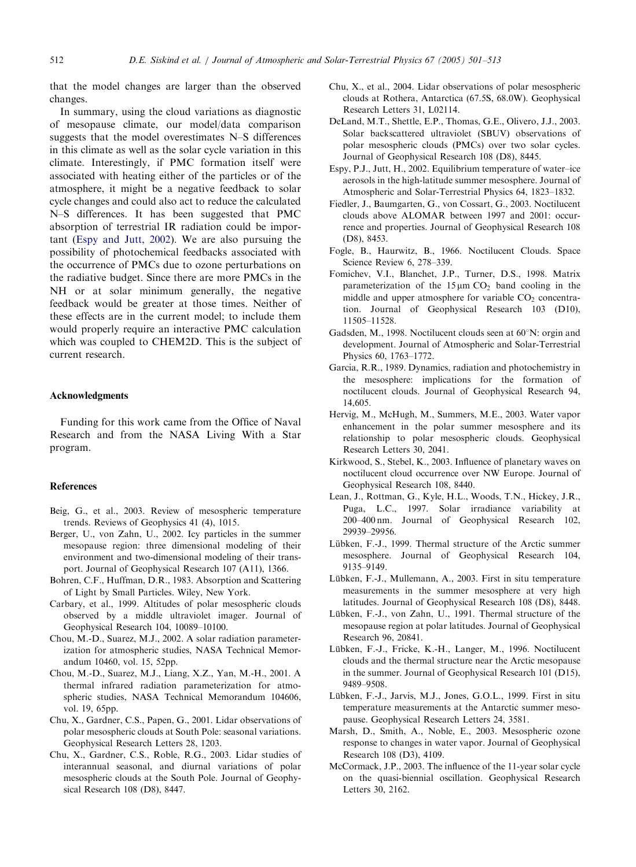<span id="page-12-0"></span>that the model changes are larger than the observed changes.

In summary, using the cloud variations as diagnostic of mesopause climate, our model/data comparison suggests that the model overestimates N–S differences in this climate as well as the solar cycle variation in this climate. Interestingly, if PMC formation itself were associated with heating either of the particles or of the atmosphere, it might be a negative feedback to solar cycle changes and could also act to reduce the calculated N–S differences. It has been suggested that PMC absorption of terrestrial IR radiation could be important (Espy and Jutt, 2002). We are also pursuing the possibility of photochemical feedbacks associated with the occurrence of PMCs due to ozone perturbations on the radiative budget. Since there are more PMCs in the NH or at solar minimum generally, the negative feedback would be greater at those times. Neither of these effects are in the current model; to include them would properly require an interactive PMC calculation which was coupled to CHEM2D. This is the subject of current research.

#### Acknowledgments

Funding for this work came from the Office of Naval Research and from the NASA Living With a Star program.

#### References

- Beig, G., et al., 2003. Review of mesospheric temperature trends. Reviews of Geophysics 41 (4), 1015.
- Berger, U., von Zahn, U., 2002. Icy particles in the summer mesopause region: three dimensional modeling of their environment and two-dimensional modeling of their transport. Journal of Geophysical Research 107 (A11), 1366.
- Bohren, C.F., Huffman, D.R., 1983. Absorption and Scattering of Light by Small Particles. Wiley, New York.
- Carbary, et al., 1999. Altitudes of polar mesospheric clouds observed by a middle ultraviolet imager. Journal of Geophysical Research 104, 10089–10100.
- Chou, M.-D., Suarez, M.J., 2002. A solar radiation parameterization for atmospheric studies, NASA Technical Memorandum 10460, vol. 15, 52pp.
- Chou, M.-D., Suarez, M.J., Liang, X.Z., Yan, M.-H., 2001. A thermal infrared radiation parameterization for atmospheric studies, NASA Technical Memorandum 104606, vol. 19, 65pp.
- Chu, X., Gardner, C.S., Papen, G., 2001. Lidar observations of polar mesospheric clouds at South Pole: seasonal variations. Geophysical Research Letters 28, 1203.
- Chu, X., Gardner, C.S., Roble, R.G., 2003. Lidar studies of interannual seasonal, and diurnal variations of polar mesospheric clouds at the South Pole. Journal of Geophysical Research 108 (D8), 8447.
- Chu, X., et al., 2004. Lidar observations of polar mesospheric clouds at Rothera, Antarctica (67.5S, 68.0W). Geophysical Research Letters 31, L02114.
- DeLand, M.T., Shettle, E.P., Thomas, G.E., Olivero, J.J., 2003. Solar backscattered ultraviolet (SBUV) observations of polar mesospheric clouds (PMCs) over two solar cycles. Journal of Geophysical Research 108 (D8), 8445.
- Espy, P.J., Jutt, H., 2002. Equilibrium temperature of water–ice aerosols in the high-latitude summer mesosphere. Journal of Atmospheric and Solar-Terrestrial Physics 64, 1823–1832.
- Fiedler, J., Baumgarten, G., von Cossart, G., 2003. Noctilucent clouds above ALOMAR between 1997 and 2001: occurrence and properties. Journal of Geophysical Research 108 (D8), 8453.
- Fogle, B., Haurwitz, B., 1966. Noctilucent Clouds. Space Science Review 6, 278–339.
- Fomichev, V.I., Blanchet, J.P., Turner, D.S., 1998. Matrix parameterization of the  $15 \mu m CO<sub>2</sub>$  band cooling in the middle and upper atmosphere for variable  $CO<sub>2</sub>$  concentration. Journal of Geophysical Research 103 (D10), 11505–11528.
- Gadsden, M., 1998. Noctilucent clouds seen at  $60^{\circ}$ N: orgin and development. Journal of Atmospheric and Solar-Terrestrial Physics 60, 1763–1772.
- Garcia, R.R., 1989. Dynamics, radiation and photochemistry in the mesosphere: implications for the formation of noctilucent clouds. Journal of Geophysical Research 94, 14,605.
- Hervig, M., McHugh, M., Summers, M.E., 2003. Water vapor enhancement in the polar summer mesosphere and its relationship to polar mesospheric clouds. Geophysical Research Letters 30, 2041.
- Kirkwood, S., Stebel, K., 2003. Influence of planetary waves on noctilucent cloud occurrence over NW Europe. Journal of Geophysical Research 108, 8440.
- Lean, J., Rottman, G., Kyle, H.L., Woods, T.N., Hickey, J.R., Puga, L.C., 1997. Solar irradiance variability at 200–400 nm. Journal of Geophysical Research 102, 29939–29956.
- Lübken, F.-J., 1999. Thermal structure of the Arctic summer mesosphere. Journal of Geophysical Research 104, 9135–9149.
- Lübken, F.-J., Mullemann, A., 2003. First in situ temperature measurements in the summer mesosphere at very high latitudes. Journal of Geophysical Research 108 (D8), 8448.
- Lübken, F.-J., von Zahn, U., 1991. Thermal structure of the mesopause region at polar latitudes. Journal of Geophysical Research 96, 20841.
- Lübken, F.-J., Fricke, K.-H., Langer, M., 1996. Noctilucent clouds and the thermal structure near the Arctic mesopause in the summer. Journal of Geophysical Research 101 (D15), 9489–9508.
- Lübken, F.-J., Jarvis, M.J., Jones, G.O.L., 1999. First in situ temperature measurements at the Antarctic summer mesopause. Geophysical Research Letters 24, 3581.
- Marsh, D., Smith, A., Noble, E., 2003. Mesospheric ozone response to changes in water vapor. Journal of Geophysical Research 108 (D3), 4109.
- McCormack, J.P., 2003. The influence of the 11-year solar cycle on the quasi-biennial oscillation. Geophysical Research Letters 30, 2162.